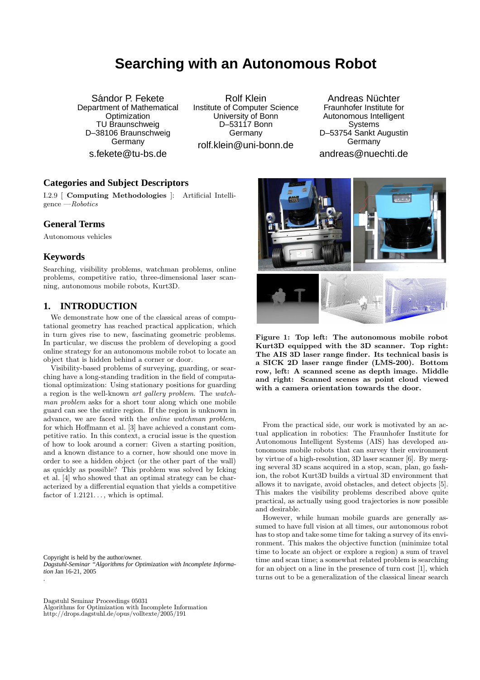# **Searching with an Autonomous Robot**

Sándor P. Fekete Department of Mathematical **Optimization** TU Braunschweig D–38106 Braunschweig Germany s.fekete@tu-bs.de

Rolf Klein Institute of Computer Science University of Bonn D–53117 Bonn Germany rolf.klein@uni-bonn.de

Andreas Nüchter Fraunhofer Institute for Autonomous Intelligent **Systems** D–53754 Sankt Augustin Germany andreas@nuechti.de

## **Categories and Subject Descriptors**

I.2.9 [ Computing Methodologies ]: Artificial Intelligence —Robotics

## **General Terms**

Autonomous vehicles

#### **Keywords**

.

Searching, visibility problems, watchman problems, online problems, competitive ratio, three-dimensional laser scanning, autonomous mobile robots, Kurt3D.

# **1. INTRODUCTION**

We demonstrate how one of the classical areas of computational geometry has reached practical application, which in turn gives rise to new, fascinating geometric problems. In particular, we discuss the problem of developing a good online strategy for an autonomous mobile robot to locate an object that is hidden behind a corner or door.

Visibility-based problems of surveying, guarding, or searching have a long-standing tradition in the field of computational optimization: Using stationary positions for guarding a region is the well-known art gallery problem. The watchman problem asks for a short tour along which one mobile guard can see the entire region. If the region is unknown in advance, we are faced with the online watchman problem, for which Hoffmann et al. [3] have achieved a constant competitive ratio. In this context, a crucial issue is the question of how to look around a corner: Given a starting position, and a known distance to a corner, how should one move in order to see a hidden object (or the other part of the wall) as quickly as possible? This problem was solved by Icking et al. [4] who showed that an optimal strategy can be characterized by a differential equation that yields a competitive factor of  $1.2121...$ , which is optimal.

Copyright is held by the author/owner. *Dagstuhl-Seminar "Algorithms for Optimization with Incomplete Information* Jan 16-21, 2005

Dagstuhl Seminar Proceedings 05031 Algorithms for Optimization with Incomplete Information http://drops.dagstuhl.de/opus/volltexte/2005/191



Figure 1: Top left: The autonomous mobile robot Kurt3D equipped with the 3D scanner. Top right: The AIS 3D laser range finder. Its technical basis is a SICK 2D laser range finder (LMS-200). Bottom row, left: A scanned scene as depth image. Middle and right: Scanned scenes as point cloud viewed with a camera orientation towards the door.

From the practical side, our work is motivated by an actual application in robotics: The Fraunhofer Institute for Autonomous Intelligent Systems (AIS) has developed autonomous mobile robots that can survey their environment by virtue of a high-resolution, 3D laser scanner [6]. By merging several 3D scans acquired in a stop, scan, plan, go fashion, the robot Kurt3D builds a virtual 3D environment that allows it to navigate, avoid obstacles, and detect objects [5]. This makes the visibility problems described above quite practical, as actually using good trajectories is now possible and desirable.

However, while human mobile guards are generally assumed to have full vision at all times, our autonomous robot has to stop and take some time for taking a survey of its environment. This makes the objective function (minimize total time to locate an object or explore a region) a sum of travel time and scan time; a somewhat related problem is searching for an object on a line in the presence of turn cost [1], which turns out to be a generalization of the classical linear search